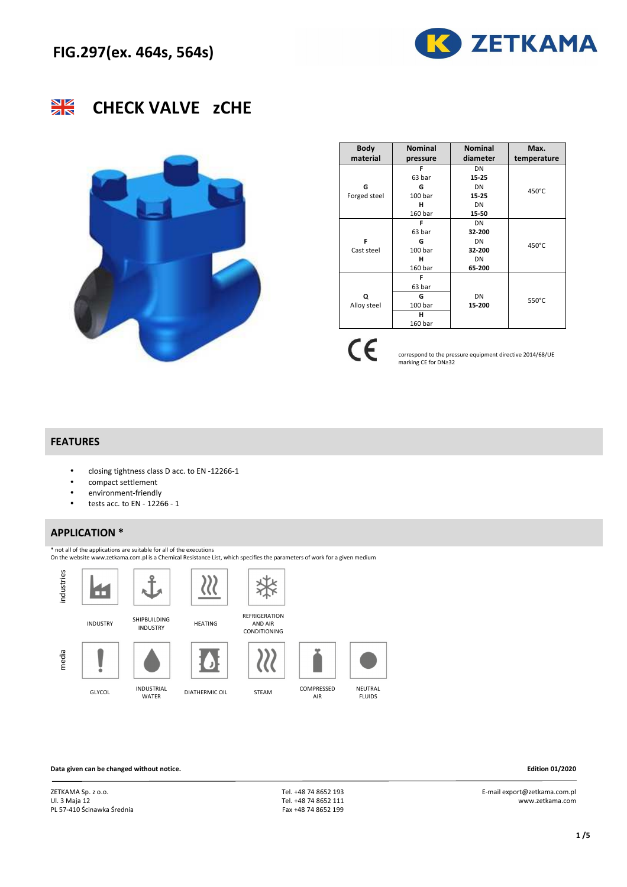



## **CHECK VALVE zCHE**



| <b>Body</b>  | <b>Nominal</b> | <b>Nominal</b> | Max.        |  |  |
|--------------|----------------|----------------|-------------|--|--|
| material     | pressure       | diameter       | temperature |  |  |
|              | F              | DN             |             |  |  |
|              | 63 bar         | 15-25          |             |  |  |
| G            | G              | DN             | 450°C       |  |  |
| Forged steel | 100 bar        | 15-25          |             |  |  |
|              | н              | DN             |             |  |  |
|              | 160 bar        | 15-50          |             |  |  |
|              | F              | DN             |             |  |  |
|              | 63 bar         | 32-200         |             |  |  |
| F            | G              | DN             | 450°C       |  |  |
| Cast steel   | 100 bar        | 32-200         |             |  |  |
|              | н              | DN             |             |  |  |
|              | 160 bar        | 65-200         |             |  |  |
|              | F              |                |             |  |  |
|              | 63 bar         |                |             |  |  |
| Q            | G              | DN             | 550°C       |  |  |
| Alloy steel  | 100 bar        | 15-200         |             |  |  |
|              | н              |                |             |  |  |
|              | 160 bar        |                |             |  |  |

 $C\epsilon$ 

correspond to the pressure equipment directive 2014/68/UE marking CE for DN≥32

### **FEATURES**

- closing tightness class D acc. to EN -12266-1
- compact settlement
- environment-friendly
- $\bullet$  tests acc. to EN 12266 1

### **APPLICATION \***

\* not all of the applications are suitable for all of the executions



**Data given can be changed without notice. Edition 01/2020** 

ZETKAMA Sp. z o.o. Ul. 3 Maja 12 PL 57-410 Ścinawka Średnia

 Tel. +48 74 8652 193 Tel. +48 74 8652 111 Fax +48 74 8652 199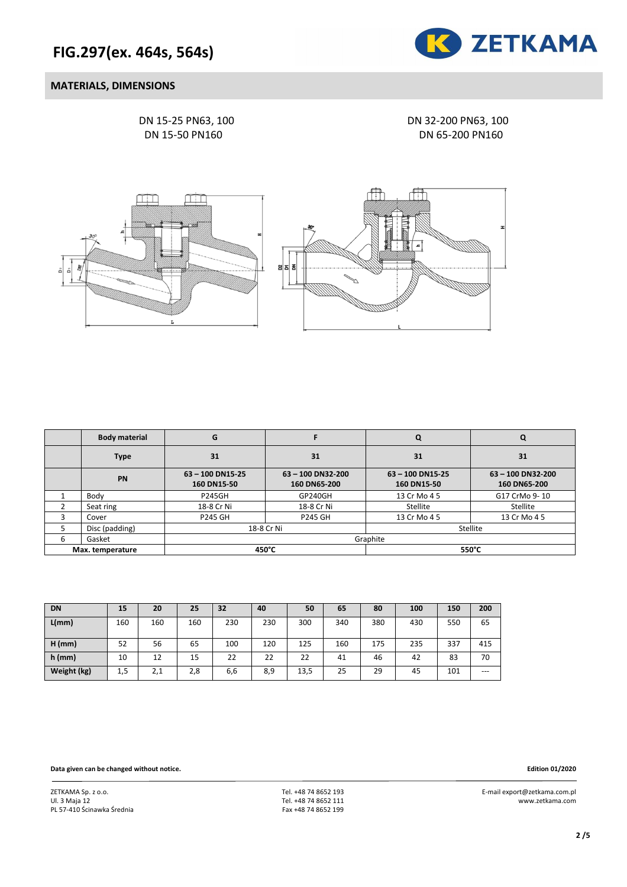

### **MATERIALS, DIMENSIONS**

DN 15-25 PN63, 100 DN 32-200 PN63, 100

DN 15-50 PN160 DN 65-200 PN160



|   | <b>Body material</b> | G                             |                                 | Q                             |                                 |  |  |  |
|---|----------------------|-------------------------------|---------------------------------|-------------------------------|---------------------------------|--|--|--|
|   | <b>Type</b>          | 31                            | 31                              | 31                            | 31                              |  |  |  |
|   | <b>PN</b>            | 63-100 DN15-25<br>160 DN15-50 | 63-100 DN32-200<br>160 DN65-200 | 63-100 DN15-25<br>160 DN15-50 | 63-100 DN32-200<br>160 DN65-200 |  |  |  |
|   | Body                 | <b>P245GH</b>                 | GP240GH                         | 13 Cr Mo 4 5                  | G17 CrMo 9-10                   |  |  |  |
|   | Seat ring            | 18-8 Cr Ni                    | 18-8 Cr Ni                      | Stellite                      | Stellite                        |  |  |  |
|   | Cover                | <b>P245 GH</b>                | <b>P245 GH</b>                  | 13 Cr Mo 4 5                  | 13 Cr Mo 4 5                    |  |  |  |
|   | Disc (padding)       | 18-8 Cr Ni                    |                                 | Stellite                      |                                 |  |  |  |
| 6 | Gasket               |                               |                                 | Graphite                      |                                 |  |  |  |
|   | Max. temperature     | 450°C                         |                                 | 550°C                         |                                 |  |  |  |

| <b>DN</b>   | 15  | 20  | 25  | 32  | 40  | 50   | 65  | 80  | 100 | 150 | 200   |
|-------------|-----|-----|-----|-----|-----|------|-----|-----|-----|-----|-------|
| L/mm        | 160 | 160 | 160 | 230 | 230 | 300  | 340 | 380 | 430 | 550 | 65    |
| $H$ (mm)    | 52  | 56  | 65  | 100 | 120 | 125  | 160 | 175 | 235 | 337 | 415   |
| $h$ (mm)    | 10  | 12  | 15  | 22  | 22  | 22   | 41  | 46  | 42  | 83  | 70    |
| Weight (kg) | 1,5 | 2,1 | 2,8 | 6,6 | 8,9 | 13,5 | 25  | 29  | 45  | 101 | $---$ |

**Data given can be changed without notice. Edition 01/2020**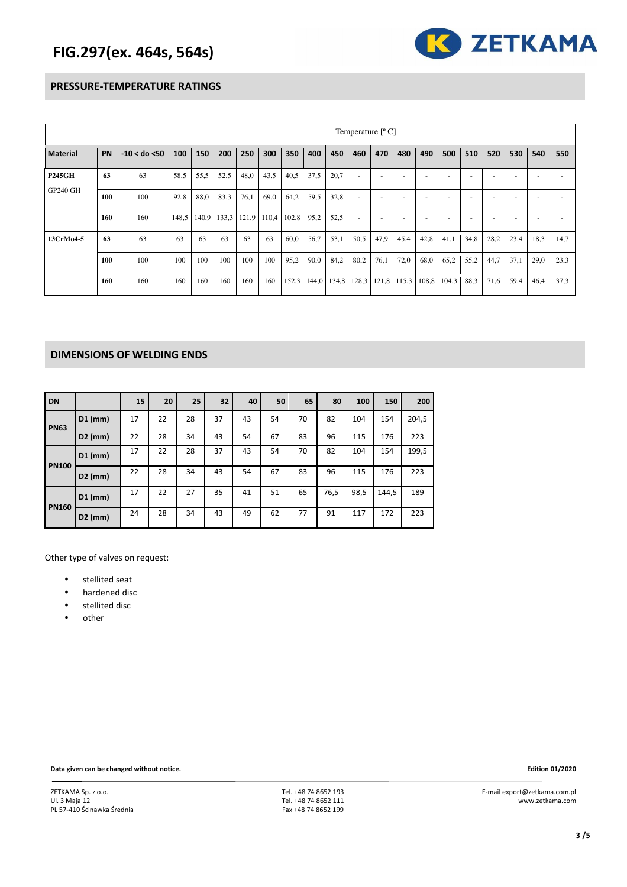

#### **PRESSURE-TEMPERATURE RATINGS**

|                 |     | Temperature $[°C]$ |       |       |       |       |       |       |       |       |       |       |       |      |             |      |      |                          |      |      |
|-----------------|-----|--------------------|-------|-------|-------|-------|-------|-------|-------|-------|-------|-------|-------|------|-------------|------|------|--------------------------|------|------|
| <b>Material</b> | PN  | $-10 <$ do $<$ 50  | 100   | 150   | 200   | 250   | 300   | 350   | 400   | 450   | 460   | 470   | 480   | 490  | 500         | 510  | 520  | 530                      | 540  | 550  |
| <b>P245GH</b>   | 63  | 63                 | 58,5  | 55,5  | 52,5  | 48,0  | 43,5  | 40,5  | 37,5  | 20,7  | ٠     | ۰     |       |      |             |      |      |                          |      |      |
| <b>GP240 GH</b> | 100 | 100                | 92,8  | 88,0  | 83,3  | 76,1  | 69,0  | 64,2  | 59,5  | 32,8  | ٠     | ٠     |       |      |             |      |      | $\overline{\phantom{a}}$ | -    |      |
|                 | 160 | 160                | 148,5 | 140,9 | 133,3 | 121,9 | 110,4 | 102,8 | 95,2  | 52,5  | ٠     | ۰     |       |      |             |      |      | $\overline{\phantom{a}}$ |      |      |
| 13CrMo4-5       | 63  | 63                 | 63    | 63    | 63    | 63    | 63    | 60,0  | 56,7  | 53,1  | 50,5  | 47,9  | 45,4  | 42,8 | 41,1        | 34,8 | 28,2 | 23,4                     | 18,3 | 14,7 |
|                 | 100 | 100                | 100   | 100   | 100   | 100   | 100   | 95,2  | 90,0  | 84,2  | 80,2  | 76,1  | 72,0  | 68,0 | 65,2        | 55,2 | 44,7 | 37,1                     | 29,0 | 23,3 |
|                 | 160 | 160                | 160   | 160   | 160   | 160   | 160   | 152,3 | 144,0 | 134,8 | 128.3 | 121,8 | 115,3 |      | 108,8 104,3 | 88,3 | 71,6 | 59,4                     | 46,4 | 37,3 |

### **DIMENSIONS OF WELDING ENDS**

| <b>DN</b>    |           | 15 | 20 | 25 | 32 | 40 | 50 | 65 | 80   | 100  | 150   | 200   |
|--------------|-----------|----|----|----|----|----|----|----|------|------|-------|-------|
| <b>PN63</b>  | $D1$ (mm) | 17 | 22 | 28 | 37 | 43 | 54 | 70 | 82   | 104  | 154   | 204,5 |
|              | $D2$ (mm) | 22 | 28 | 34 | 43 | 54 | 67 | 83 | 96   | 115  | 176   | 223   |
| <b>PN100</b> | $D1$ (mm) | 17 | 22 | 28 | 37 | 43 | 54 | 70 | 82   | 104  | 154   | 199,5 |
|              | $D2$ (mm) | 22 | 28 | 34 | 43 | 54 | 67 | 83 | 96   | 115  | 176   | 223   |
| <b>PN160</b> | $D1$ (mm) | 17 | 22 | 27 | 35 | 41 | 51 | 65 | 76,5 | 98,5 | 144,5 | 189   |
|              | $D2$ (mm) | 24 | 28 | 34 | 43 | 49 | 62 | 77 | 91   | 117  | 172   | 223   |

Other type of valves on request:

- stellited seat
- hardened disc
- stellited disc
- other

**Data given can be changed without notice. Edition 01/2020**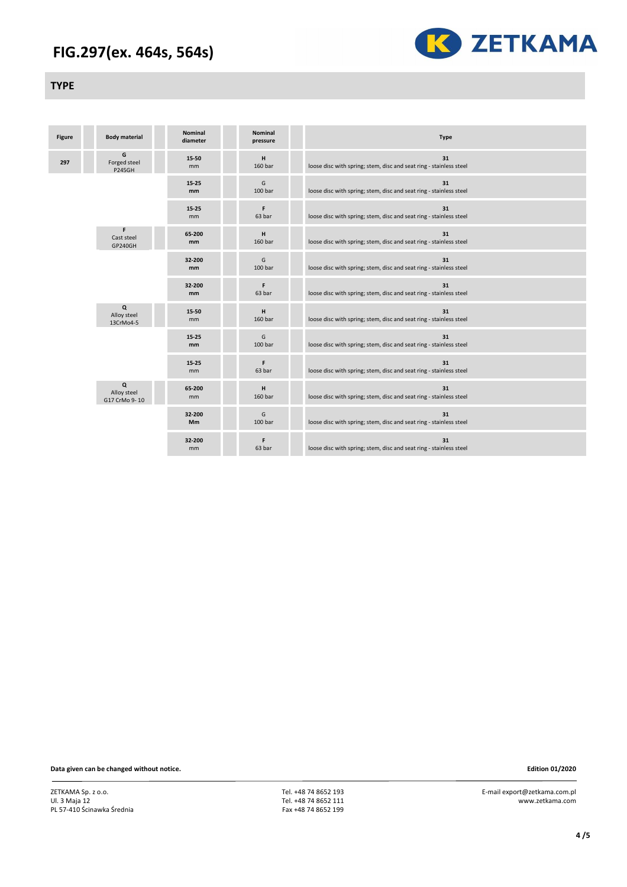

#### **TYPE**

| <b>Figure</b> | <b>Body material</b>               | <b>Nominal</b><br>diameter | <b>Nominal</b><br>pressure | <b>Type</b>                                                              |
|---------------|------------------------------------|----------------------------|----------------------------|--------------------------------------------------------------------------|
| 297           | G<br>Forged steel<br><b>P245GH</b> | 15-50<br>mm                | н<br>160 bar               | 31<br>loose disc with spring; stem, disc and seat ring - stainless steel |
|               |                                    | $15 - 25$<br><sub>mm</sub> | G<br>100 bar               | 31<br>loose disc with spring; stem, disc and seat ring - stainless steel |
|               |                                    | $15 - 25$<br>mm            | F<br>63 bar                | 31<br>loose disc with spring; stem, disc and seat ring - stainless steel |
|               | F.<br>Cast steel<br>GP240GH        | 65-200<br>mm               | н<br>160 bar               | 31<br>loose disc with spring; stem, disc and seat ring - stainless steel |
|               |                                    | 32-200<br>mm               | G<br>100 bar               | 31<br>loose disc with spring; stem, disc and seat ring - stainless steel |
|               |                                    | 32-200<br>mm               | F<br>63 bar                | 31<br>loose disc with spring; stem, disc and seat ring - stainless steel |
|               | Q<br>Alloy steel<br>13CrMo4-5      | 15-50<br>mm                | н<br>160 bar               | 31<br>loose disc with spring; stem, disc and seat ring - stainless steel |
|               |                                    | $15 - 25$<br>mm            | G<br>100 bar               | 31<br>loose disc with spring; stem, disc and seat ring - stainless steel |
|               |                                    | 15-25<br>mm                | F<br>63 bar                | 31<br>loose disc with spring; stem, disc and seat ring - stainless steel |
|               | Q<br>Alloy steel<br>G17 CrMo 9-10  | 65-200<br><sub>mm</sub>    | н<br>160 bar               | 31<br>loose disc with spring; stem, disc and seat ring - stainless steel |
|               |                                    | 32-200<br>Mm               | G<br>100 bar               | 31<br>loose disc with spring; stem, disc and seat ring - stainless steel |
|               |                                    | 32-200<br>mm               | F<br>63 bar                | 31<br>loose disc with spring; stem, disc and seat ring - stainless steel |

**Data given can be changed without notice. Edition 01/2020** 

ZETKAMA Sp. z o.o. Ul. 3 Maja 12 PL 57-410 Ścinawka Średnia  Tel. +48 74 8652 193 Tel. +48 74 8652 111 Fax +48 74 8652 199